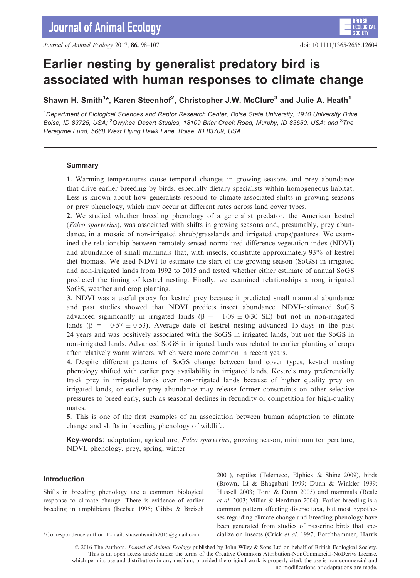Journal of Animal Ecology 2017, 86, 98–107 doi: 10.1111/1365-2656.12604

**BRITISH** 

**SOCIET** 

# Earlier nesting by generalist predatory bird is associated with human responses to climate change

Shawn H. Smith<sup>1\*</sup>, Karen Steenhof<sup>2</sup>, Christopher J.W. McClure<sup>3</sup> and Julie A. Heath<sup>1</sup>

<sup>1</sup>Department of Biological Sciences and Raptor Research Center, Boise State University, 1910 University Drive, Boise, ID 83725, USA; <sup>2</sup>Owyhee Desert Studies, 18109 Briar Creek Road, Murphy, ID 83650, USA; and <sup>3</sup>The Peregrine Fund, 5668 West Flying Hawk Lane, Boise, ID 83709, USA

#### Summary

1. Warming temperatures cause temporal changes in growing seasons and prey abundance that drive earlier breeding by birds, especially dietary specialists within homogeneous habitat. Less is known about how generalists respond to climate-associated shifts in growing seasons or prey phenology, which may occur at different rates across land cover types.

2. We studied whether breeding phenology of a generalist predator, the American kestrel (Falco sparverius), was associated with shifts in growing seasons and, presumably, prey abundance, in a mosaic of non-irrigated shrub/grasslands and irrigated crops/pastures. We examined the relationship between remotely-sensed normalized difference vegetation index (NDVI) and abundance of small mammals that, with insects, constitute approximately 93% of kestrel diet biomass. We used NDVI to estimate the start of the growing season (SoGS) in irrigated and non-irrigated lands from 1992 to 2015 and tested whether either estimate of annual SoGS predicted the timing of kestrel nesting. Finally, we examined relationships among irrigated SoGS, weather and crop planting.

3. NDVI was a useful proxy for kestrel prey because it predicted small mammal abundance and past studies showed that NDVI predicts insect abundance. NDVI-estimated SoGS advanced significantly in irrigated lands ( $\beta = -1.09 \pm 0.30$  SE) but not in non-irrigated lands ( $\beta = -0.57 \pm 0.53$ ). Average date of kestrel nesting advanced 15 days in the past 24 years and was positively associated with the SoGS in irrigated lands, but not the SoGS in non-irrigated lands. Advanced SoGS in irrigated lands was related to earlier planting of crops after relatively warm winters, which were more common in recent years.

4. Despite different patterns of SoGS change between land cover types, kestrel nesting phenology shifted with earlier prey availability in irrigated lands. Kestrels may preferentially track prey in irrigated lands over non-irrigated lands because of higher quality prey on irrigated lands, or earlier prey abundance may release former constraints on other selective pressures to breed early, such as seasonal declines in fecundity or competition for high-quality mates.

5. This is one of the first examples of an association between human adaptation to climate change and shifts in breeding phenology of wildlife.

Key-words: adaptation, agriculture, Falco sparverius, growing season, minimum temperature, NDVI, phenology, prey, spring, winter

## Introduction

Shifts in breeding phenology are a common biological response to climate change. There is evidence of earlier breeding in amphibians (Beebee 1995; Gibbs & Breisch

2001), reptiles (Telemeco, Elphick & Shine 2009), birds (Brown, Li & Bhagabati 1999; Dunn & Winkler 1999; Hussell 2003; Torti & Dunn 2005) and mammals (Reale et al. 2003; Millar & Herdman 2004). Earlier breeding is a common pattern affecting diverse taxa, but most hypotheses regarding climate change and breeding phenology have been generated from studies of passerine birds that spe- \*Correspondence author. E-mail: shawnhsmith2015@gmail.com cialize on insects (Crick et al. 1997; Forchhammer, Harris

© 2016 The Authors. Journal of Animal Ecology published by John Wiley & Sons Ltd on behalf of British Ecological Society. This is an open access article under the terms of the [Creative Commons Attribution-NonCommercial-NoDerivs](http://creativecommons.org/licenses/by-nc-nd/4.0/) License, which permits use and distribution in any medium, provided the original work is properly cited, the use is non-commercial and no modifications or adaptations are made.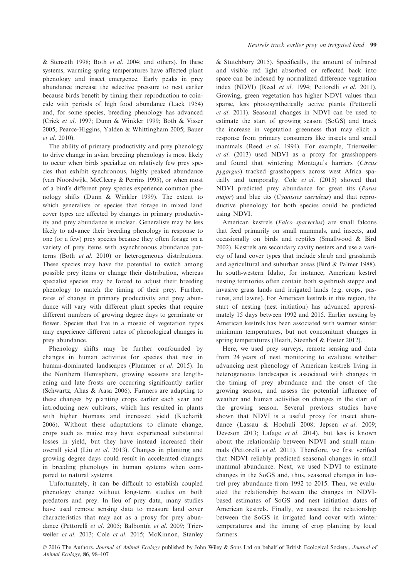& Stenseth 1998; Both et al. 2004; and others). In these systems, warming spring temperatures have affected plant phenology and insect emergence. Early peaks in prey abundance increase the selective pressure to nest earlier because birds benefit by timing their reproduction to coincide with periods of high food abundance (Lack 1954) and, for some species, breeding phenology has advanced (Crick et al. 1997; Dunn & Winkler 1999; Both & Visser 2005; Pearce-Higgins, Yalden & Whittingham 2005; Bauer et al. 2010).

The ability of primary productivity and prey phenology to drive change in avian breeding phenology is most likely to occur when birds specialize on relatively few prey species that exhibit synchronous, highly peaked abundance (van Noordwijk, McCleery & Perrins 1995), or when most of a bird's different prey species experience common phenology shifts (Dunn & Winkler 1999). The extent to which generalists or species that forage in mixed land cover types are affected by changes in primary productivity and prey abundance is unclear. Generalists may be less likely to advance their breeding phenology in response to one (or a few) prey species because they often forage on a variety of prey items with asynchronous abundance patterns (Both et al. 2010) or heterogeneous distributions. These species may have the potential to switch among possible prey items or change their distribution, whereas specialist species may be forced to adjust their breeding phenology to match the timing of their prey. Further, rates of change in primary productivity and prey abundance will vary with different plant species that require different numbers of growing degree days to germinate or flower. Species that live in a mosaic of vegetation types may experience different rates of phenological changes in prey abundance.

Phenology shifts may be further confounded by changes in human activities for species that nest in human-dominated landscapes (Plummer et al. 2015). In the Northern Hemisphere, growing seasons are lengthening and late frosts are occurring significantly earlier (Schwartz, Ahas & Aasa 2006). Farmers are adapting to these changes by planting crops earlier each year and introducing new cultivars, which has resulted in plants with higher biomass and increased yield (Kucharik 2006). Without these adaptations to climate change, crops such as maize may have experienced substantial losses in yield, but they have instead increased their overall yield (Liu et al. 2013). Changes in planting and growing degree days could result in accelerated changes in breeding phenology in human systems when compared to natural systems.

Unfortunately, it can be difficult to establish coupled phenology change without long-term studies on both predators and prey. In lieu of prey data, many studies have used remote sensing data to measure land cover characteristics that may act as a proxy for prey abundance (Pettorelli et al. 2005; Balbontín et al. 2009; Trierweiler et al. 2013; Cole et al. 2015; McKinnon, Stanley

& Stutchbury 2015). Specifically, the amount of infrared and visible red light absorbed or reflected back into space can be indexed by normalized difference vegetation index (NDVI) (Reed et al. 1994; Pettorelli et al. 2011). Growing, green vegetation has higher NDVI values than sparse, less photosynthetically active plants (Pettorelli et al. 2011). Seasonal changes in NDVI can be used to estimate the start of growing season (SoGS) and track the increase in vegetation greenness that may elicit a response from primary consumers like insects and small mammals (Reed et al. 1994). For example, Trierweiler et al. (2013) used NDVI as a proxy for grasshoppers and found that wintering Montagu's harriers (Circus pygargus) tracked grasshoppers across west Africa spatially and temporally. Cole et al. (2015) showed that NDVI predicted prey abundance for great tits (Parus major) and blue tits (*Cyanistes caeruleus*) and that reproductive phenology for both species could be predicted using NDVI.

American kestrels (Falco sparverius) are small falcons that feed primarily on small mammals, and insects, and occasionally on birds and reptiles (Smallwood & Bird 2002). Kestrels are secondary cavity nesters and use a variety of land cover types that include shrub and grasslands and agricultural and suburban areas (Bird & Palmer 1988). In south-western Idaho, for instance, American kestrel nesting territories often contain both sagebrush steppe and invasive grass lands and irrigated lands (e.g. crops, pastures, and lawns). For American kestrels in this region, the start of nesting (nest initiation) has advanced approximately 15 days between 1992 and 2015. Earlier nesting by American kestrels has been associated with warmer winter minimum temperatures, but not concomitant changes in spring temperatures (Heath, Steenhof & Foster 2012).

Here, we used prey surveys, remote sensing and data from 24 years of nest monitoring to evaluate whether advancing nest phenology of American kestrels living in heterogeneous landscapes is associated with changes in the timing of prey abundance and the onset of the growing season, and assess the potential influence of weather and human activities on changes in the start of the growing season. Several previous studies have shown that NDVI is a useful proxy for insect abundance (Lassau & Hochuli 2008; Jepsen et al. 2009; Deveson 2013; Lafage et al. 2014), but less is known about the relationship between NDVI and small mammals (Pettorelli et al. 2011). Therefore, we first verified that NDVI reliably predicted seasonal changes in small mammal abundance. Next, we used NDVI to estimate changes in the SoGS and, thus, seasonal changes in kestrel prey abundance from 1992 to 2015. Then, we evaluated the relationship between the changes in NDVIbased estimates of SoGS and nest initiation dates of American kestrels. Finally, we assessed the relationship between the SoGS in irrigated land cover with winter temperatures and the timing of crop planting by local farmers.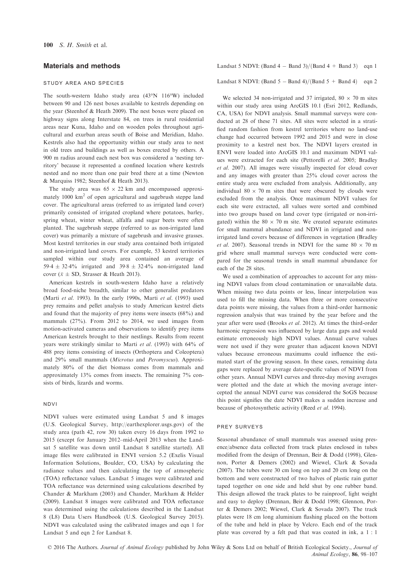## Materials and methods

#### study area and species

The south-western Idaho study area (43°N 116°W) included between 90 and 126 nest boxes available to kestrels depending on the year (Steenhof & Heath 2009). The nest boxes were placed on highway signs along Interstate 84, on trees in rural residential areas near Kuna, Idaho and on wooden poles throughout agricultural and exurban areas south of Boise and Meridian, Idaho. Kestrels also had the opportunity within our study area to nest in old trees and buildings as well as boxes erected by others. A 900 m radius around each nest box was considered a 'nesting territory' because it represented a confined location where kestrels nested and no more than one pair bred there at a time (Newton & Marquiss 1982; Steenhof & Heath 2013).

The study area was  $65 \times 22$  km and encompassed approximately  $1000 \text{ km}^2$  of open agricultural and sagebrush steppe land cover. The agricultural areas (referred to as irrigated land cover) primarily consisted of irrigated cropland where potatoes, barley, spring wheat, winter wheat, alfalfa and sugar beets were often planted. The sagebrush steppe (referred to as non-irrigated land cover) was primarily a mixture of sagebrush and invasive grasses. Most kestrel territories in our study area contained both irrigated and non-irrigated land covers. For example, 53 kestrel territories sampled within our study area contained an average of 59.4  $\pm$  32.4% irrigated and 39.8  $\pm$  32.4% non-irrigated land cover ( $\bar{x} \pm SD$ , Strasser & Heath 2013).

American kestrels in south-western Idaho have a relatively broad food-niche breadth, similar to other generalist predators (Marti et al. 1993). In the early 1990s, Marti et al. (1993) used prey remains and pellet analysis to study American kestrel diets and found that the majority of prey items were insects (68%) and mammals (27%). From 2012 to 2014, we used images from motion-activated cameras and observations to identify prey items American kestrels brought to their nestlings. Results from recent years were strikingly similar to Marti et al. (1993) with 64% of 488 prey items consisting of insects (Orthoptera and Coleoptera) and 29% small mammals (Microtus and Peromyscus). Approximately 80% of the diet biomass comes from mammals and approximately 13% comes from insects. The remaining 7% consists of birds, lizards and worms.

### ndvi

NDVI values were estimated using Landsat 5 and 8 images (U.S. Geological Survey,<http://earthexplorer.usgs.gov>) of the study area (path 42, row 30) taken every 16 days from 1992 to 2015 (except for January 2012–mid-April 2013 when the Landsat 5 satellite was down until Landsat 8 satellite started). All image files were calibrated in ENVI version 5.2 (Exelis Visual Information Solutions, Boulder, CO, USA) by calculating the radiance values and then calculating the top of atmospheric (TOA) reflectance values. Landsat 5 images were calibrated and TOA reflectance was determined using calculations described by Chander & Markham (2003) and Chander, Markham & Helder (2009). Landsat 8 images were calibrated and TOA reflectance was determined using the calculations described in the Landsat 8 (L8) Data Users Handbook (U.S. Geological Survey 2015). NDVI was calculated using the calibrated images and eqn 1 for Landsat 5 and eqn 2 for Landsat 8.

Landsat 5 NDVI: (Band  $4 -$  Band 3)/(Band  $4 +$  Band 3) eqn 1

Landsat 8 NDVI: (Band  $5 -$ Band 4)/(Band  $5 +$  Band 4) eqn 2

We selected 34 non-irrigated and 37 irrigated,  $80 \times 70$  m sites within our study area using ArcGIS 10.1 (Esri 2012, Redlands, CA, USA) for NDVI analysis. Small mammal surveys were conducted at 28 of these 71 sites. All sites were selected in a stratified random fashion from kestrel territories where no land-use change had occurred between 1992 and 2015 and were in close proximity to a kestrel nest box. The NDVI layers created in ENVI were loaded into ArcGIS 10.1 and maximum NDVI values were extracted for each site (Pettorelli et al. 2005; Bradley et al. 2007). All images were visually inspected for cloud cover and any images with greater than 25% cloud cover across the entire study area were excluded from analysis. Additionally, any individual  $80 \times 70$  m sites that were obscured by clouds were excluded from the analysis. Once maximum NDVI values for each site were extracted, all values were sorted and combined into two groups based on land cover type (irrigated or non-irrigated) within the  $80 \times 70$  m site. We created separate estimates for small mammal abundance and NDVI in irrigated and nonirrigated land covers because of differences in vegetation (Bradley *et al.* 2007). Seasonal trends in NDVI for the same  $80 \times 70$  m grid where small mammal surveys were conducted were compared for the seasonal trends in small mammal abundance for each of the 28 sites.

We used a combination of approaches to account for any missing NDVI values from cloud contamination or unavailable data. When missing two data points or less, linear interpolation was used to fill the missing data. When three or more consecutive data points were missing, the values from a third-order harmonic regression analysis that was trained by the year before and the year after were used (Brooks et al. 2012). At times the third-order harmonic regression was influenced by large data gaps and would estimate erroneously high NDVI values. Annual curve values were not used if they were greater than adjacent known NDVI values because erroneous maximums could influence the estimated start of the growing season. In these cases, remaining data gaps were replaced by average date-specific values of NDVI from other years. Annual NDVI curves and three-day moving averages were plotted and the date at which the moving average intercepted the annual NDVI curve was considered the SoGS because this point signifies the date NDVI makes a sudden increase and because of photosynthetic activity (Reed et al. 1994).

#### prey surveys

Seasonal abundance of small mammals was assessed using presence/absence data collected from track plates enclosed in tubes modified from the design of Drennan, Beir & Dodd (1998), Glennon, Porter & Demers (2002) and Wiewel, Clark & Sovada (2007). The tubes were 30 cm long on top and 20 cm long on the bottom and were constructed of two halves of plastic rain gutter taped together on one side and held shut by one rubber band. This design allowed the track plates to be rainproof, light weight and easy to deploy (Drennan, Beir & Dodd 1998; Glennon, Porter & Demers 2002; Wiewel, Clark & Sovada 2007). The track plates were 18 cm long aluminium flashing placed on the bottom of the tube and held in place by Velcro. Each end of the track plate was covered by a felt pad that was coated in ink, a 1 : 1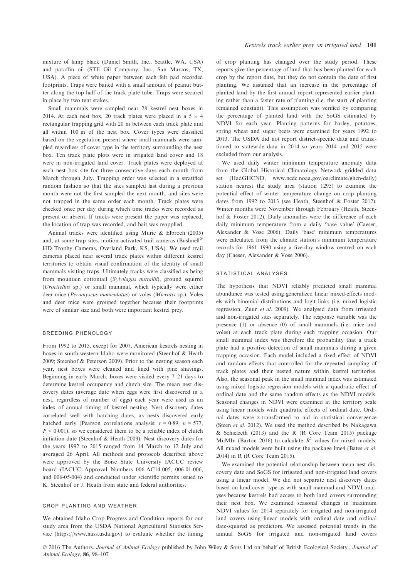mixture of lamp black (Daniel Smith, Inc., Seattle, WA, USA) and paraffin oil (STE Oil Company, Inc., San Marcos, TX, USA). A piece of white paper between each felt pad recorded footprints. Traps were baited with a small amount of peanut butter along the top half of the track plate tube. Traps were secured in place by two tent stakes.

Small mammals were sampled near 28 kestrel nest boxes in 2014. At each nest box, 20 track plates were placed in a  $5 \times 4$ rectangular trapping grid with 20 m between each track plate and all within 100 m of the nest box. Cover types were classified based on the vegetation present where small mammals were sampled regardless of cover type in the territory surrounding the nest box. Ten track plate plots were in irrigated land cover and 18 were in non-irrigated land cover. Track plates were deployed at each nest box site for three consecutive days each month from March through July. Trapping order was selected in a stratified random fashion so that the sites sampled last during a previous month were not the first sampled the next month, and sites were not trapped in the same order each month. Track plates were checked once per day during which time tracks were recorded as present or absent. If tracks were present the paper was replaced, the location of trap was recorded, and bait was reapplied.

Animal tracks were identified using Murie & Elbroch (2005) and, at some trap sites, motion-activated trail cameras (Bushnell HD Trophy Cameras, Overland Park, KS, USA). We used trail cameras placed near several track plates within different kestrel territories to obtain visual confirmation of the identity of small mammals visiting traps. Ultimately tracks were classified as being from mountain cottontail (Sylvilagus nuttallii), ground squirrel (Urocitellus sp.) or small mammal, which typically were either deer mice (Peromyscus maniculatus) or voles (Microtis sp.). Voles and deer mice were grouped together because their footprints were of similar size and both were important kestrel prey.

#### breeding phenology

From 1992 to 2015, except for 2007, American kestrels nesting in boxes in south-western Idaho were monitored (Steenhof & Heath 2009; Steenhof & Peterson 2009). Prior to the nesting season each year, nest boxes were cleaned and lined with pine shavings. Beginning in early March, boxes were visited every 7–21 days to determine kestrel occupancy and clutch size. The mean nest discovery dates (average date when eggs were first discovered in a nest, regardless of number of eggs) each year were used as an index of annual timing of kestrel nesting. Nest discovery dates correlated well with hatching dates, as nests discovered early hatched early (Pearson correlations analysis:  $r = 0.89$ ,  $n = 577$ ,  $P < 0.001$ ), so we considered them to be a reliable index of clutch initiation date (Steenhof & Heath 2009). Nest discovery dates for the years 1992 to 2015 ranged from 14 March to 12 July and averaged 26 April. All methods and protocols described above were approved by the Boise State University IACUC review board (IACUC Approval Numbers 006-AC14-005, 006-01-006, and 006-05-004) and conducted under scientific permits issued to K. Steenhof or J. Heath from state and federal authorities.

## crop planting and weather

We obtained Idaho Crop Progress and Condition reports for our study area from the USDA National Agricultural Statistics Service [\(https://www.nass.usda.gov\)](https://www.nass.usda.gov) to evaluate whether the timing of crop planting has changed over the study period. These reports give the percentage of land that has been planted for each crop by the report date, but they do not contain the date of first planting. We assumed that an increase in the percentage of planted land by the first annual report represented earlier planting rather than a faster rate of planting (i.e. the start of planting remained constant). This assumption was verified by comparing the percentage of planted land with the SoGS estimated by NDVI for each year. Planting patterns for barley, potatoes, spring wheat and sugar beets were examined for years 1992 to 2013. The USDA did not report district-specific data and transitioned to statewide data in 2014 so years 2014 and 2015 were excluded from our analysis.

We used daily winter minimum temperature anomaly data from the Global Historical Climatology Network gridded data set (HadGHCND, [www.ncdc.noaa.gov/oa/climate/ghcn-daily](http://www.ncdc.noaa.gov/oa/climate/ghcn-daily)) station nearest the study area (station 1295) to examine the potential effect of winter temperature change on crop planting dates from 1992 to 2013 (see Heath, Steenhof & Foster 2012). Winter months were November through February (Heath, Steenhof & Foster 2012). Daily anomalies were the difference of each daily minimum temperature from a daily 'base value' (Caeser, Alexander & Vose 2006). Daily 'base' minimum temperatures were calculated from the climate station's minimum temperature records for 1961–1990 using a five-day window centred on each day (Caeser, Alexander & Vose 2006).

#### statistical analyses

The hypothesis that NDVI reliably predicted small mammal abundance was tested using generalized linear mixed-effects models with binomial distributions and logit links (i.e. mixed logistic regression, Zuur et al. 2009). We analysed data from irrigated and non-irrigated sites separately. The response variable was the presence (1) or absence (0) of small mammals (i.e. mice and voles) at each track plate during each trapping occasion. Our small mammal index was therefore the probability that a track plate had a positive detection of small mammals during a given trapping occasion. Each model included a fixed effect of NDVI and random effects that controlled for the repeated sampling of track plates and their nested nature within kestrel territories. Also, the seasonal peak in the small mammal index was estimated using mixed logistic regression models with a quadratic effect of ordinal date and the same random effects as the NDVI models. Seasonal changes in NDVI were examined at the territory scale using linear models with quadratic effects of ordinal date. Ordinal dates were z-transformed to aid in statistical convergence (Steen et al. 2012). We used the method described by Nakagawa & Schielzeth (2013) and the R (R Core Team 2015) package MuMIn (Barton 2016) to calculate  $R^2$  values for mixed models. All mixed models were built using the package lme4 (Bates et al. 2014) in R (R Core Team 2015).

We examined the potential relationship between mean nest discovery date and SoGS for irrigated and non-irrigated land covers using a linear model. We did not separate nest discovery dates based on land cover type as with small mammal and NDVI analyses because kestrels had access to both land covers surrounding their nest box. We examined seasonal changes in maximum NDVI values for 2014 separately for irrigated and non-irrigated land covers using linear models with ordinal date and ordinal date-squared as predictors. We assessed potential trends in the annual SoGS for irrigated and non-irrigated land covers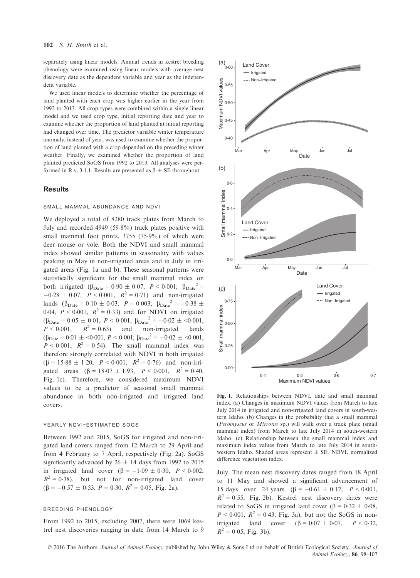separately using linear models. Annual trends in kestrel breeding phenology were examined using linear models with average nest discovery date as the dependent variable and year as the independent variable.

We used linear models to determine whether the percentage of land planted with each crop was higher earlier in the year from 1992 to 2013. All crop types were combined within a single linear model and we used crop type, initial reporting date and year to examine whether the proportion of land planted at initial reporting had changed over time. The predictor variable winter temperature anomaly, instead of year, was used to examine whether the proportion of land planted with a crop depended on the preceding winter weather. Finally, we examined whether the proportion of land planted predicted SoGS from 1992 to 2013. All analyses were performed in R v. 3.1.1. Results are presented as  $\beta \pm SE$  throughout.

#### **Results**

#### small mammal abundance and ndvi

We deployed a total of 8280 track plates from March to July and recorded 4949 (59.8%) track plates positive with small mammal foot prints,  $3755$  ( $75.9\%$ ) of which were deer mouse or vole. Both the NDVI and small mammal index showed similar patterns in seasonality with values peaking in May in non-irrigated areas and in July in irrigated areas (Fig. 1a and b). These seasonal patterns were statistically significant for the small mammal index on both irrigated  $(\beta_{\text{Date}} = 0.90 \pm 0.07, P < 0.001; \beta_{\text{Date}}^2$  $-0.28 \pm 0.07$ ,  $P < 0.001$ ,  $R^2 = 0.71$ ) and non-irrigated lands  $(\beta_{\text{Date}} = 0.10 \pm 0.03, P = 0.003; \beta_{\text{Date}}^2 = -0.38 \pm 0.003)$ 0.04,  $P < 0.001$ ,  $R^2 = 0.33$ ) and for NDVI on irrigated  $(\beta_{\text{Date}} = 0.05 \pm 0.01, P < 0.001; \beta_{\text{Date}}^2 = -0.02 \pm <0.001,$ <br>  $P < 0.001, R^2 = 0.63$  and non-irrigated lands  $P < 0.001$ ,  $R^2 = 0.63$ ) and non-irrigated  $(\beta_{\text{Date}} = 0.01 \pm \langle 0.001, P \le 0.001; \beta_{\text{Date}}^2 = -0.02 \pm \langle 0.001, P \rangle)$  $P < 0.001$ ,  $R^2 = 0.54$ ). The small mammal index was therefore strongly correlated with NDVI in both irrigated  $(\beta = 15.88 \pm 1.20, P < 0.001, R^2 = 0.76)$  and non-irrigated areas  $(\beta = 18.07 \pm 1.93, P < 0.001, R^2 = 0.40,$ Fig. 1c). Therefore, we considered maximum NDVI values to be a predictor of seasonal small mammal abundance in both non-irrigated and irrigated land covers.

#### YEARLY NDVI-ESTIMATED SOGS

Between 1992 and 2015, SoGS for irrigated and non-irrigated land covers ranged from 12 March to 29 April and from 4 February to 7 April, respectively (Fig. 2a). SoGS significantly advanced by  $26 \pm 14$  days from 1992 to 2015 in irrigated land cover  $(\beta = -1.09 \pm 0.30, P < 0.002,$  $R^2 = 0.38$ ), but not for non-irrigated land cover  $(\beta = -0.57 \pm 0.53, P = 0.30, R^2 = 0.05, Fig. 2a).$ 

#### breeding phenology

From 1992 to 2015, excluding 2007, there were 1069 kestrel nest discoveries ranging in date from 14 March to 9



Fig. 1. Relationships between NDVI, date and small mammal index. (a) Changes in maximum NDVI values from March to late July 2014 in irrigated and non-irrigated land covers in south-western Idaho. (b) Changes in the probability that a small mammal (Peromyscus or Microtus sp.) will walk over a track plate (small mammal index) from March to late July 2014 in south-western Idaho. (c) Relationship between the small mammal index and maximum index values from March to late July 2014 in southwestern Idaho. Shaded areas represent  $\pm$  SE. NDVI, normalized difference vegetation index.

July. The mean nest discovery dates ranged from 18 April to 11 May and showed a significant advancement of 15 days over 24 years  $(\beta = -0.61 \pm 0.12, P < 0.001,$  $R^2 = 0.55$ , Fig. 2b). Kestrel nest discovery dates were related to SoGS in irrigated land cover  $(\beta = 0.32 \pm 0.08$ ,  $P < 0.001$ ,  $R^2 = 0.43$ , Fig. 3a), but not the SoGS in nonirrigated land cover  $(\beta = 0.07 \pm 0.07, P < 0.32,$  $R^2 = 0.05$ , Fig. 3b).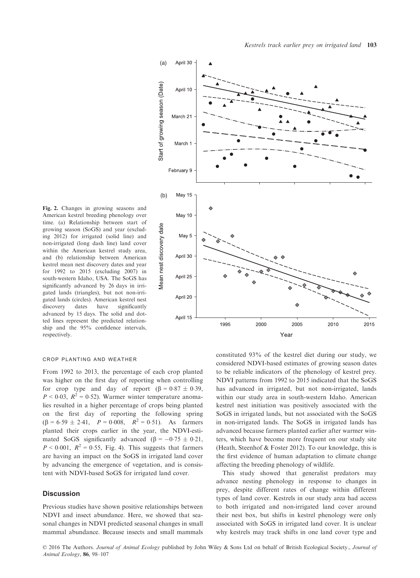

Fig. 2. Changes in growing seasons and American kestrel breeding phenology over time. (a) Relationship between start of growing season (SoGS) and year (excluding 2012) for irrigated (solid line) and non-irrigated (long dash line) land cover within the American kestrel study area, and (b) relationship between American kestrel mean nest discovery dates and year for 1992 to 2015 (excluding 2007) in south-western Idaho, USA. The SoGS has significantly advanced by 26 days in irrigated lands (triangles), but not non-irrigated lands (circles). American kestrel nest discovery dates have significantly advanced by 15 days. The solid and dotted lines represent the predicted relationship and the 95% confidence intervals, respectively.

#### crop planting and weather

From 1992 to 2013, the percentage of each crop planted was higher on the first day of reporting when controlling for crop type and day of report  $(\beta = 0.87 \pm 0.39)$ ,  $P < 0.03$ ,  $R^2 = 0.52$ ). Warmer winter temperature anomalies resulted in a higher percentage of crops being planted on the first day of reporting the following spring  $(\beta = 6.59 \pm 2.41, P = 0.008, R^2 = 0.51)$ . As farmers planted their crops earlier in the year, the NDVI-estimated SoGS significantly advanced ( $\beta = -0.75 \pm 0.21$ ,  $P < 0.001$ ,  $R^2 = 0.55$ , Fig. 4). This suggests that farmers are having an impact on the SoGS in irrigated land cover by advancing the emergence of vegetation, and is consistent with NDVI-based SoGS for irrigated land cover.

## **Discussion**

Previous studies have shown positive relationships between NDVI and insect abundance. Here, we showed that seasonal changes in NDVI predicted seasonal changes in small mammal abundance. Because insects and small mammals constituted 93% of the kestrel diet during our study, we considered NDVI-based estimates of growing season dates to be reliable indicators of the phenology of kestrel prey. NDVI patterns from 1992 to 2015 indicated that the SoGS has advanced in irrigated, but not non-irrigated, lands within our study area in south-western Idaho. American kestrel nest initiation was positively associated with the SoGS in irrigated lands, but not associated with the SoGS in non-irrigated lands. The SoGS in irrigated lands has advanced because farmers planted earlier after warmer winters, which have become more frequent on our study site (Heath, Steenhof & Foster 2012). To our knowledge, this is the first evidence of human adaptation to climate change affecting the breeding phenology of wildlife.

This study showed that generalist predators may advance nesting phenology in response to changes in prey, despite different rates of change within different types of land cover. Kestrels in our study area had access to both irrigated and non-irrigated land cover around their nest box, but shifts in kestrel phenology were only associated with SoGS in irrigated land cover. It is unclear why kestrels may track shifts in one land cover type and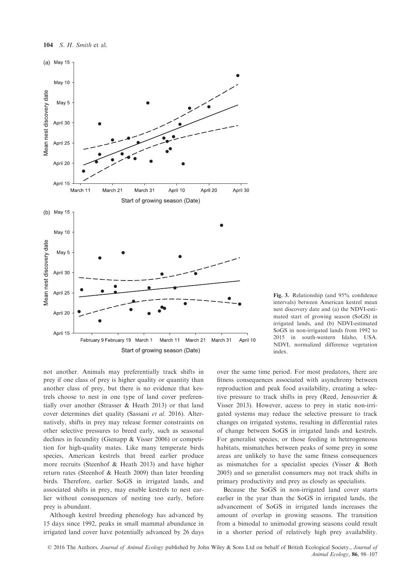

not another. Animals may preferentially track shifts in prey if one class of prey is higher quality or quantity than another class of prey, but there is no evidence that kestrels choose to nest in one type of land cover preferentially over another (Strasser & Heath 2013) or that land cover determines diet quality (Sassani et al. 2016). Alternatively, shifts in prey may release former constraints on other selective pressures to breed early, such as seasonal declines in fecundity (Gienapp & Visser 2006) or competition for high-quality mates. Like many temperate birds species, American kestrels that breed earlier produce more recruits (Steenhof & Heath 2013) and have higher return rates (Steenhof & Heath 2009) than later breeding birds. Therefore, earlier SoGS in irrigated lands, and associated shifts in prey, may enable kestrels to nest earlier without consequences of nesting too early, before prey is abundant.

Although kestrel breeding phenology has advanced by 15 days since 1992, peaks in small mammal abundance in irrigated land cover have potentially advanced by 26 days

Fig. 3. Relationship (and 95% confidence intervals) between American kestrel mean nest discovery date and (a) the NDVI-estimated start of growing season (SoGS) in irrigated lands, and (b) NDVI-estimated SoGS in non-irrigated lands from 1992 to 2015 in south-western Idaho, USA. NDVI, normalized difference vegetation index.

over the same time period. For most predators, there are fitness consequences associated with asynchrony between reproduction and peak food availability, creating a selective pressure to track shifts in prey (Reed, Jenouvrier & Visser 2013). However, access to prey in static non-irrigated systems may reduce the selective pressure to track changes on irrigated systems, resulting in differential rates of change between SoGS in irrigated lands and kestrels. For generalist species, or those feeding in heterogeneous habitats, mismatches between peaks of some prey in some areas are unlikely to have the same fitness consequences as mismatches for a specialist species (Visser & Both 2005) and so generalist consumers may not track shifts in primary productivity and prey as closely as specialists.

Because the SoGS in non-irrigated land cover starts earlier in the year than the SoGS in irrigated lands, the advancement of SoGS in irrigated lands increases the amount of overlap in growing seasons. The transition from a bimodal to unimodal growing seasons could result in a shorter period of relatively high prey availability.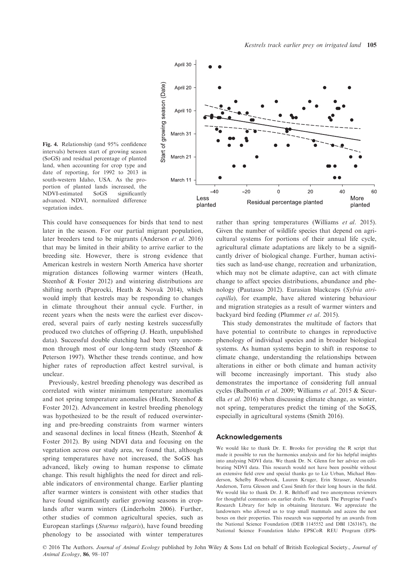



This could have consequences for birds that tend to nest later in the season. For our partial migrant population, later breeders tend to be migrants (Anderson et al. 2016) that may be limited in their ability to arrive earlier to the breeding site. However, there is strong evidence that American kestrels in western North America have shorter migration distances following warmer winters (Heath, Steenhof & Foster 2012) and wintering distributions are shifting north (Paprocki, Heath & Novak 2014), which would imply that kestrels may be responding to changes in climate throughout their annual cycle. Further, in recent years when the nests were the earliest ever discovered, several pairs of early nesting kestrels successfully produced two clutches of offspring (J. Heath, unpublished data). Successful double clutching had been very uncommon through most of our long-term study (Steenhof & Peterson 1997). Whether these trends continue, and how higher rates of reproduction affect kestrel survival, is unclear.

Previously, kestrel breeding phenology was described as correlated with winter minimum temperature anomalies and not spring temperature anomalies (Heath, Steenhof & Foster 2012). Advancement in kestrel breeding phenology was hypothesized to be the result of reduced overwintering and pre-breeding constraints from warmer winters and seasonal declines in local fitness (Heath, Steenhof & Foster 2012). By using NDVI data and focusing on the vegetation across our study area, we found that, although spring temperatures have not increased, the SoGS has advanced, likely owing to human response to climate change. This result highlights the need for direct and reliable indicators of environmental change. Earlier planting after warmer winters is consistent with other studies that have found significantly earlier growing seasons in croplands after warm winters (Linderholm 2006). Further, other studies of common agricultural species, such as European starlings (Sturnus vulgaris), have found breeding phenology to be associated with winter temperatures

rather than spring temperatures (Williams et al. 2015). Given the number of wildlife species that depend on agricultural systems for portions of their annual life cycle, agricultural climate adaptations are likely to be a significantly driver of biological change. Further, human activities such as land-use change, recreation and urbanization, which may not be climate adaptive, can act with climate change to affect species distributions, abundance and phenology (Pautasso 2012). Eurasian blackcaps (Sylvia atricapilla), for example, have altered wintering behaviour and migration strategies as a result of warmer winters and backyard bird feeding (Plummer et al. 2015).

This study demonstrates the multitude of factors that have potential to contribute to changes in reproductive phenology of individual species and in broader biological systems. As human systems begin to shift in response to climate change, understanding the relationships between alterations in either or both climate and human activity will become increasingly important. This study also demonstrates the importance of considering full annual cycles (Balbontín et al. 2009; Williams et al. 2015 & Sicurella et al. 2016) when discussing climate change, as winter, not spring, temperatures predict the timing of the SoGS, especially in agricultural systems (Smith 2016).

#### Acknowledgements

We would like to thank Dr. E. Brooks for providing the R script that made it possible to run the harmonics analysis and for his helpful insights into analysing NDVI data. We thank Dr. N. Glenn for her advice on calibrating NDVI data. This research would not have been possible without an extensive field crew and special thanks go to Liz Urban, Michael Henderson, Schelby Rosebrook, Lauren Kruger, Erin Strasser, Alexandra Anderson, Terra Glesson and Cassi Smith for their long hours in the field. We would like to thank Dr. J. R. Belthoff and two anonymous reviewers for thoughtful comments on earlier drafts. We thank The Peregrine Fund's Research Library for help in obtaining literature. We appreciate the landowners who allowed us to trap small mammals and access the nest boxes on their properties. This research was supported by an awards from the National Science Foundation (DEB 1145552 and DBI 1263167), the National Science Foundation Idaho EPSCoR REU Program (EPS-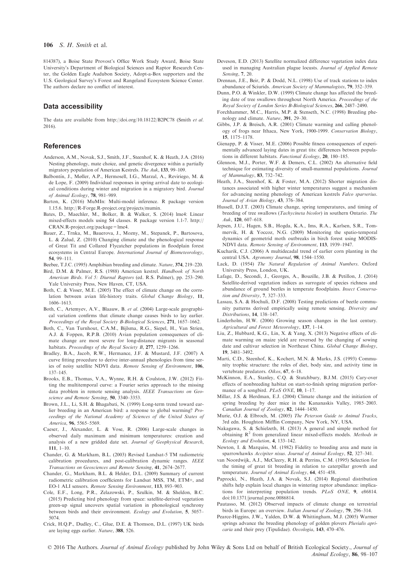814387), a Boise State Provost's Office Work Study Award, Boise State University's Department of Biological Sciences and Raptor Research Center, the Golden Eagle Audubon Society, Adopt-a-Box supporters and the U.S. Geological Survey's Forest and Rangeland Ecosystem Science Center. The authors declare no conflict of interest.

#### Data accessibility

The data are available from<http://doi.org/10.18122/B2PC78> (Smith et al. 2016).

#### References

- Anderson, A.M., Novak, S.J., Smith, J.F., Steenhof, K. & Heath, J.A. (2016) Nesting phenology, mate choice, and genetic divergence within a partially migratory population of American Kestrels. The Auk, 133, 99–109.
- Balbontín, J., Møller, A.P., Hermosell, I.G., Marzal, A., Reviriego, M. & de Lope, F. (2009) Individual responses in spring arrival date to ecological conditions during winter and migration in a migratory bird. Journal of Animal Ecology, 78, 981–989.
- Barton, K. (2016) MuMIn: Multi-model inference. R package version 1.15.6. [http://R-Forge.R-project.org/projects/mumin.](http://R-Forge.R-project.org/projects/mumin)
- Bates, D., Maechler, M., Bolker, B. & Walker, S. (2014) lme4: Linear mixed-effects models using S4 classes. R package version 1.1-7. [http://](http://CRAN.R-project.org/package=lme4) [CRAN.R-project.org/package=lme4.](http://CRAN.R-project.org/package=lme4)
- Bauer, Z., Trnka, M., Bauerova, J., Mozny, M., Stepanek, P., Bartosova, L. & Zalud, Z. (2010) Changing climate and the phenological response of Great Tit and Collared Flycatcher populations in floodplain forest ecosystems in Central Europe. International Journal of Biometeorology,

**54**, 99–111.<br>ebee TIC Beebee, T.J.C. (1995) Amphibian breeding and climate. Nature, 374, 219–220.<br>Bird, D.M., & Palmer, B.S. (1988). American kestral, Handbook of North

- Bird, D.M. & Palmer, R.S. (1988) American kestrel. Handbook of North American Birds. Vol 5: Diurnal Raptors (ed. R.S. Palmer), pp. 253–290. Yale University Press, New Haven, CT, USA.
- Both, C. & Visser, M.E. (2005) The effect of climate change on the correlation between avian life-history traits. Global Change Biology, 11, 1606–1613.
- Both, C., Artemyev, A.V., Blaauw, B. et al. (2004) Large-scale geographical variation confirms that climate change causes birds to lay earlier. Proceedings of the Royal Society B-Biological Sciences, 271, 1657–1662.
- Both, C., Van Turnhout, C.A.M., Bijlsma, R.G., Siepel, H., Van Strien, A.J. & Foppen, R.P.B. (2010) Avian population consequences of climate change are most severe for long-distance migrants in seasonal habitats. Proceedings of the Royal Society B, 277, 1259-1266.
- Bradley, B.A., Jacob, R.W., Hermance, J.F. & Mustard, J.F. (2007) A curve fitting procedure to derive inter-annual phenologies from time series of noisy satellite NDVI data. Remote Sensing of Environment, 106, 137–145.
- Brooks, E.B., Thomas, V.A., Wynne, R.H. & Coulston, J.W. (2012) Fitting the multitemporal curve: a Fourier series approach to the missing data problem in remote sensing analysis. IEEE Transactions on Geoscience and Remote Sensing, 50, 3340–3353.
- Brown, J.L., Li, S.H. & Bhagabati, N. (1999) Long-term trend toward earlier breeding in an American bird: a response to global warming? Proceedings of the National Academy of Sciences of the United States of America, 96, 5565–5569.
- Caeser, J., Alexander, L. & Vose, R. (2006) Large-scale changes in observed daily maximum and minimum temperatures: creation and analysis of a new gridded date set. Journal of Geophysical Research, 111, 1–10.
- Chander, G. & Markham, B.L. (2003) Revised Landsat-5 TM radiometric calibration procedures, and post-calibration dynamic ranges. IEEE Transactions on Geosciences and Remote Sensing, 41, 2674–2677.
- Chander, G., Markham, B.L. & Helder, D.L. (2009) Summary of current radiometric calibration coefficients for Landsat MSS, TM, ETM+, and EO-1 ALI sensors. Remote Sensing Environment, 113, 893–903.
- Cole, E.F., Long, P.R., Zelazowski, P., Szulkin, M. & Sheldon, B.C. (2015) Predicting bird phenology from space: satellite-derived vegetation green-up signal uncovers spatial variation in phonological synchrony between birds and their environment. Ecology and Evolution, 5, 5057– 5074.
- Crick, H.Q.P., Dudley, C., Glue, D.E. & Thomson, D.L. (1997) UK birds are laying eggs earlier. Nature, 388, 526.
- Deveson, E.D. (2013) Satellite normalized difference vegetation index data used in managing Australian plague locusts. Journal of Applied Remote
- Sensing, 7, 20. Drennan, J.E., Beir, P. & Dodd, N.L. (1998) Use of track stations to index abundance of Sciurids. American Society of Mammalogists, 79, 352–359.
- Dunn, P.O. & Winkler, D.W. (1999) Climate change has affected the breeding date of tree swallows throughout North America. Proceedings of the Royal Society of London Series B-Biological Sciences, 266, 2487–2490.
- Forchhammer, M.C., Harris, M.P. & Stenseth, N.C. (1998) Breeding phenology and climate. Nature, 391, 29–30.
- Gibbs, J.P. & Breisch, A.R. (2001) Climate warming and calling phenology of frogs near Ithaca, New York, 1900-1999. Conservation Biology,
- 15, 1175–1178. Gienapp, P. & Visser, M.E. (2006) Possible fitness consequences of experimentally advanced laying dates in great tits: differences between populations in different habitats. Functional Ecology, 20, 180–185.
- Glennon, M.J., Porter, W.F. & Demers, C.L. (2002) An alternative field technique for estimating diversity of small-mammal populations. Journal of Mammalogy, 83, 732–742.
- Heath, J.A., Steenhof, K. & Foster, M.A. (2012) Shorter migration distances associated with higher winter temperatures suggest a mechanism for advancing nesting phenology of American kestrels Falco sparverius. Journal of Avian Biology, 43, 376–384.
- Hussell, D.J.T. (2003) Climate change, spring temperatures, and timing of breeding of tree swallows (*Tachycineta bicolor*) in southern Ontario. *The*  $\frac{Auk}{120}$  607–618
- Auk, 120, 607–618. Jepsen, J.U., Hagen, S.B., Hogda, K.A., Ims, R.A., Karlsen, S.R., Tommervik, H. & Yoccoz, N.G. (2009) Monitoring the spatio-temporal dynamics of geometrid moth outbreaks in birch forest using MODIS-NDVI data. Remote Sensing of Environment, 113, 1939–1947.
- Kucharik, C.J. (2006) A multidecadal trend of earlier corn planting in the central USA. Agronomy Journal, 98, 1544–1550.
- Lack, D. (1954) The Natural Regulation of Animal Numbers. Oxford University Press, London, UK.
- Lafage, D., Secondi, J., Georges, A., Bouzille, J.B. & Petillon, J. (2014) Satellite-derived vegetation indices as surrogate of species richness and abundance of ground beetles in temperate floodplains. Insect Conservation and Diversity, 7, 327–333.
- Lassau, S.A. & Hochuli, D.F. (2008) Testing predictions of beetle community patterns derived empirically using remote sensing. Diversity and Distributions, 14, 138–147.
- Linderholm, H.W. (2006) Growing season changes in the last century. Agricultural and Forest Meteorology, 137, 1–14.
- Liu, Z., Hubbard, K.G., Lin, X. & Yang, X. (2013) Negative effects of climate warming on maize yield are reversed by the changing of sowing date and cultivar selection in Northeast China. Global Change Biology, 19, 3481–3492.
- Marti, C.D., Steenhof, K., Kochert, M.N. & Marks, J.S. (1993) Community trophic structure: the roles of diet, body size, and activity time in vertebrate predators. Oikos, 67, 6–18.
- McKinnon, E.A., Stanley, C.Q. & Stutchbury, B.J.M. (2015) Cary-over effects of nonbreeding habitat on start-to-finish spring migration performance of a songbird. PLoS ONE, 10, 1-17.
- Millar, J.S. & Herdman, E.J. (2004) Climate change and the initiation of spring breeding by deer mice in the Kananaskis Valley, 1985–2003. Canadian Journal of Zoology, 82, 1444–1450.
- Murie, O.J. & Elbroch, M. (2005) The Peterson Guide to Animal Tracks, 3rd edn. Houghton Mifflin Company, New York, NY, USA.
- Nakagawa, S. & Schielzeth, H. (2013) A general and simple method for obtaining  $R^2$  from generalized linear mixed-effects models. Methods in Ecology and Evolution, 4, 133–142.
- Newton, I. & Marquiss, M. (1982) Fidelity to breeding area and mate in sparrowhawks Accipiter nisus. Journal of Animal Ecology, 52, 327–341.
- van Noordwijk, A.J., McCleery, R.H. & Perrins, C.M. (1995) Selection for the timing of great tit breeding in relation to caterpillar growth and temperature. Journal of Animal Ecology, 64, 451–458.
- Paprocki, N., Heath, J.A. & Novak, S.J. (2014) Regional distribution shifts help explain local changes in wintering raptor abundance: implications for interpreting population trends. PLoS ONE, 9, e86814. doi:[10.1371/journal.pone.0086814](http://dx.doi.org/10.1371/journal.pone.0086814).
- Pautasso, M. (2012) Observed impacts of climate change on terrestrial birds in Europe: an overview. Italian Journal of Zoology, 79, 296-314.
- Pearce-Higgins, J.W., Yalden, D.W. & Whittingham, M.J. (2005) Warmer springs advance the breeding phenology of golden plovers Pluvialis apricaria and their prey (Tipulidae). Oecologia, 143, 470–476.